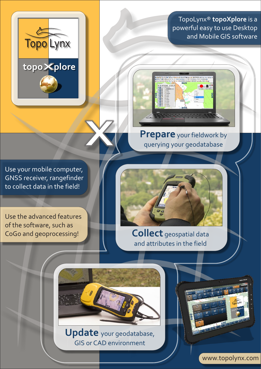

TopoLynx® **topoXplore** is a powerful easy to use Desktop and Mobile GIS software



**Prepare** your fieldwork by querying your geodatabase

Use your mobile computer, GNSS receiver, rangefinder to collect data in the field!

Use the advanced features of the software, such as CoGo and geoprocessing!



**Collect** geospatial data and attributes in the field



**Update** your geodatabase, GIS or CAD environment